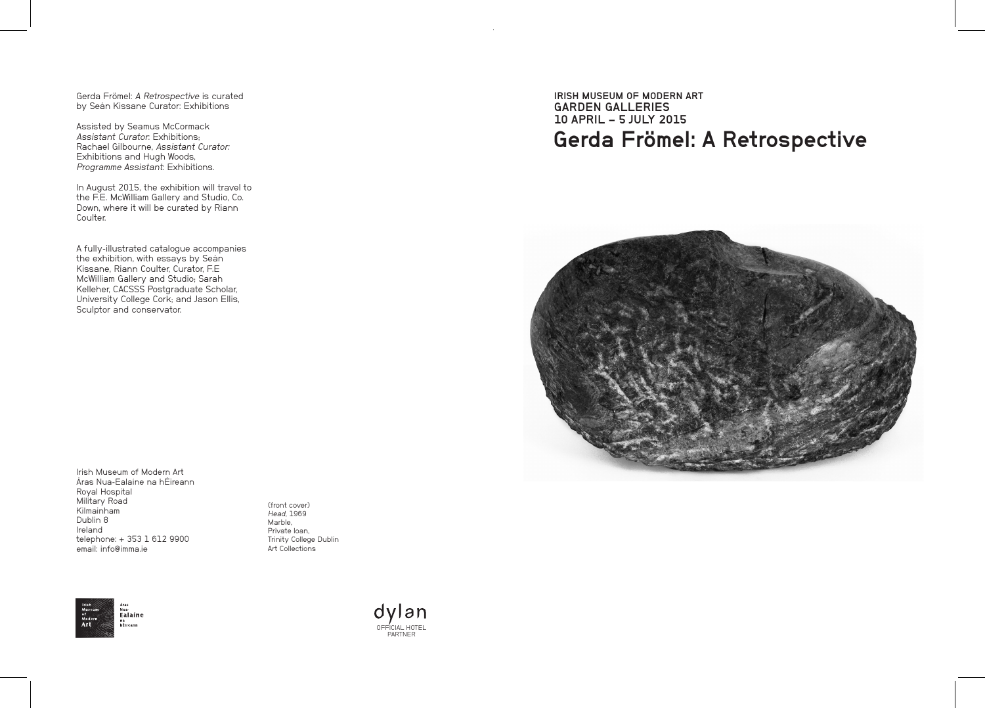Gerda Frömel: A Retrospective is curated by Seán Kissane Curator: Exhibitions

Assisted by Seamus McCormack Assistant Curator: Exhibitions: Rachael Gilbourne, Assistant Curator: Exhibitions and Hugh Woods, Programme Assistant: Exhibitions.

In August 2015, the exhibition will travel to the F.E. McWilliam Gallery and Studio, Co. Down, where it will be curated by Riann Coulter.

A fully-illustrated catalogue accompanies the exhibition, with essays by Seán Kissane, Riann Coulter, Curator, F.E McWilliam Gallery and Studio; Sarah Kelleher, CACSSS Postgraduate Scholar, University College Cork; and Jason Ellis, Sculptor and conservator.

Áras Nua-Ealaíne na hÉireann Royal Hospital Military Road Kilmainham Dublin 8 Ireland telephone: + 353 1 612 9900 email: info@imma.ie

Irish Museum of Modern Art

(front cover) Head, 1969 Marble, Private loan, Trinity College Dublin Art Collections



dylan OFFICIAL HOTEL PARTNER

Gerda Frömel: A Retrospective IRISH MUSEUM OF MODERN ART GARDEN GALLERIES 10 APRIL – 5 JULY 2015